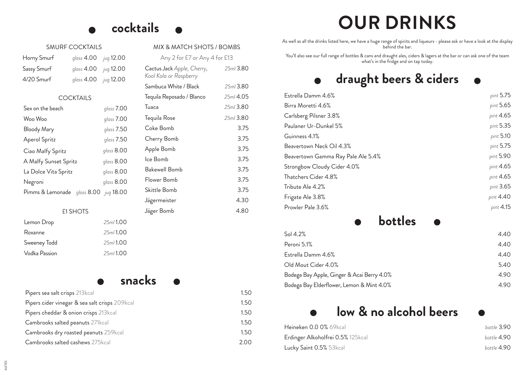## **cocktails**

MIX & MATCH SHOTS / BOMBS

Any 2 for £7 or Any 4 for £13

Sambuca White / Black *25ml* 3.80 Tequila Reposado / Blanco *25ml* 4.05 Tuaca *25ml* 3.80 Tequila Rose *25ml* 3.80 Coke Bomb 3.75 Cherry Bomb 3.75 Apple Bomb 3.75 Ice Bomb 3.75 Bakewell Bomb 3.75 Flower Bomb 3.75 Skittle Bomb 3.75 Jägermeister 4.30 Jäger Bomb 4.80

*25ml* 3.80

Cactus Jack *Apple, Cherry, Kool Kola or Raspberry*

| SMURF COCKTAILS    |              |                  |  |
|--------------------|--------------|------------------|--|
| Horny Smurf        | glass $4.00$ | <i>jug</i> 12.00 |  |
| Sassy Smurf        | glass 4.00   | <i>jug</i> 12.00 |  |
| $4/20$ Smurf       | glass $4.00$ | jug 12.00        |  |
| <b>COCKTAILS</b>   |              |                  |  |
| Sex on the beach   |              | glass 7.00       |  |
| Woo Woo            |              | glass $7.00$     |  |
| <b>Bloody Mary</b> |              | glass 7.50       |  |
| Aperol Spritz      |              | glass $7.50$     |  |

### £1 SHOTS

Ciao Malfy Spritz *glass* 8.00 A Malfy Sunset Spritz *glass* 8.00 La Dolce Vita Spritz *glass* 8.00 Negroni *glass* 8.00 Pimms & Lemonade *glass* 8.00 *jug* 18.00

| Lemon Drop    | 25ml 1.00 |
|---------------|-----------|
| Roxanne       | 25ml 1.00 |
| Sweeney Todd  | 25ml 1.00 |
| Vodka Passion | 25ml 1.00 |

## **snacks**

| Pipers sea salt crisps 213kcal                 | 1.50 |
|------------------------------------------------|------|
| Pipers cider vinegar & sea salt crisps 209kcal | 1.50 |
| Pipers cheddar & onion crisps 213kcal          | 1.50 |
| Cambrooks salted peanuts 271kcal               | 1.50 |
| Cambrooks dry roasted peanuts 259kcal          | 1.50 |
| Cambrooks salted cashews 275kcal               | 2.00 |

# **OUR DRINKS**

As well as all the drinks listed here, we have a huge range of spirits and liqueurs - please ask or have a look at the display behind the bar.

You'll also see our full range of bottles & cans and draught ales, ciders & lagers at the bar or can ask one of the team what's in the fridge and on tap today.

# **draught beers & ciders**

| Estrella Damm 4.6%                 | pint 5.75 |
|------------------------------------|-----------|
| Birra Moretti 4.6%                 | pint 5.65 |
| Carlsberg Pilsner 3.8%             | pint 4.65 |
| Paulaner Ur-Dunkel 5%              | pint 5.35 |
| Guinness 4.1%                      | pint 5.10 |
| Beavertown Neck Oil 4.3%           | pint 5.75 |
| Beavertown Gamma Ray Pale Ale 5.4% | pint 5.90 |
| Strongbow Cloudy Cider 4.0%        | pint 4.65 |
| Thatchers Cider 4.8%               | pint 4.65 |
| Tribute Ale 4.2%                   | pint 3.65 |
| Frigate Ale 3.8%                   | pint 4.40 |
| Prowler Pale 3.6%                  | pint 4.15 |
|                                    |           |

## **bottles**

| Sol $4.2\%$                                | 4.40 |
|--------------------------------------------|------|
| Peroni 5.1%                                | 4.40 |
| Estrella Damm 4.6%                         | 4.40 |
| Old Mout Cider 4.0%                        | 5.40 |
| Bodega Bay Apple, Ginger & Acai Berry 4.0% | 4.90 |
| Bodega Bay Elderflower, Lemon & Mint 4.0%  | 4.90 |

## **low & no alcohol beers**

| Heineken 0.0 0% 69kcal            | bottle 3.90 |
|-----------------------------------|-------------|
| Erdinger Alkoholfrei 0.5% 125kcal | bottle 4.90 |
| Lucky Saint 0.5% 53kcal           | bottle 4.90 |